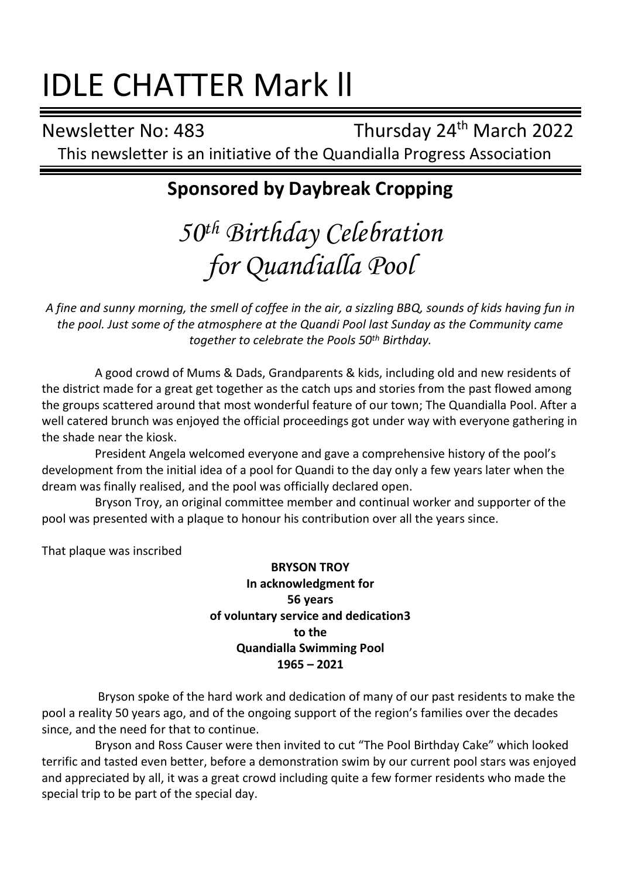# IDLE CHATTER Mark ll

Newsletter No: 483 Thursday 24<sup>th</sup> March 2022 This newsletter is an initiative of the Quandialla Progress Association

# **Sponsored by Daybreak Cropping**

# *50th Birthday Celebration for Quandialla Pool*

*A fine and sunny morning, the smell of coffee in the air, a sizzling BBQ, sounds of kids having fun in the pool. Just some of the atmosphere at the Quandi Pool last Sunday as the Community came together to celebrate the Pools 50th Birthday.*

A good crowd of Mums & Dads, Grandparents & kids, including old and new residents of the district made for a great get together as the catch ups and stories from the past flowed among the groups scattered around that most wonderful feature of our town; The Quandialla Pool. After a well catered brunch was enjoyed the official proceedings got under way with everyone gathering in the shade near the kiosk.

President Angela welcomed everyone and gave a comprehensive history of the pool's development from the initial idea of a pool for Quandi to the day only a few years later when the dream was finally realised, and the pool was officially declared open.

Bryson Troy, an original committee member and continual worker and supporter of the pool was presented with a plaque to honour his contribution over all the years since.

That plaque was inscribed

#### **BRYSON TROY In acknowledgment for 56 years of voluntary service and dedication3 to the Quandialla Swimming Pool 1965 – 2021**

Bryson spoke of the hard work and dedication of many of our past residents to make the pool a reality 50 years ago, and of the ongoing support of the region's families over the decades since, and the need for that to continue.

Bryson and Ross Causer were then invited to cut "The Pool Birthday Cake" which looked terrific and tasted even better, before a demonstration swim by our current pool stars was enjoyed and appreciated by all, it was a great crowd including quite a few former residents who made the special trip to be part of the special day.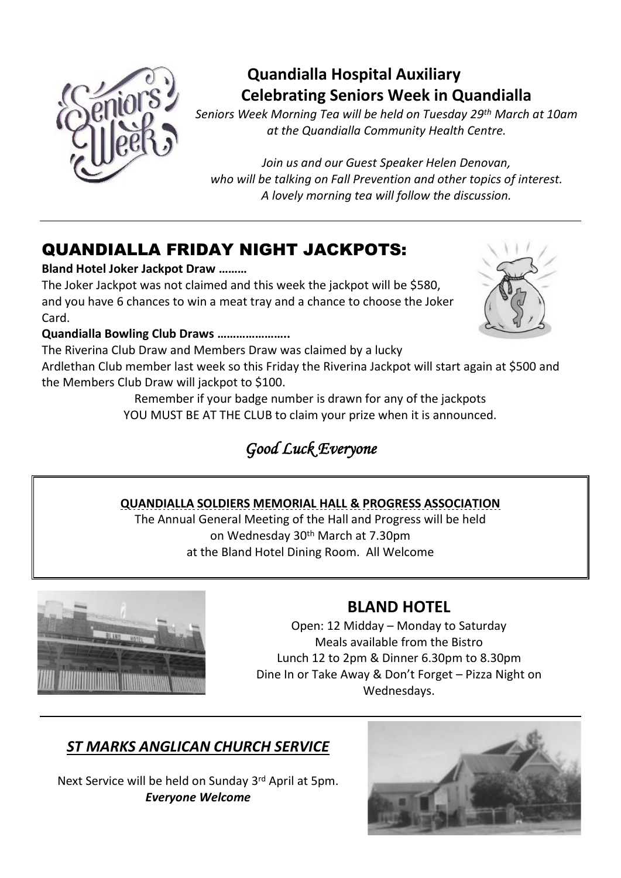

## **Quandialla Hospital Auxiliary Celebrating Seniors Week in Quandialla**

*Seniors Week Morning Tea will be held on Tuesday 29th March at 10am at the Quandialla Community Health Centre.*

*Join us and our Guest Speaker Helen Denovan, who will be talking on Fall Prevention and other topics of interest. A lovely morning tea will follow the discussion.*

# QUANDIALLA FRIDAY NIGHT JACKPOTS:

#### **Bland Hotel Joker Jackpot Draw ………**

The Joker Jackpot was not claimed and this week the jackpot will be \$580, and you have 6 chances to win a meat tray and a chance to choose the Joker Card.

#### **Quandialla Bowling Club Draws …………………..**

The Riverina Club Draw and Members Draw was claimed by a lucky

Ardlethan Club member last week so this Friday the Riverina Jackpot will start again at \$500 and the Members Club Draw will jackpot to \$100.

> Remember if your badge number is drawn for any of the jackpots YOU MUST BE AT THE CLUB to claim your prize when it is announced.

# *Good Luck Everyone*

#### **QUANDIALLA SOLDIERS MEMORIAL HALL & PROGRESS ASSOCIATION**

The Annual General Meeting of the Hall and Progress will be held on Wednesday 30th March at 7.30pm at the Bland Hotel Dining Room. All Welcome



## **BLAND HOTEL**

Open: 12 Midday – Monday to Saturday Meals available from the Bistro Lunch 12 to 2pm & Dinner 6.30pm to 8.30pm Dine In or Take Away & Don't Forget – Pizza Night on Wednesdays.

## *ST MARKS ANGLICAN CHURCH SERVICE*

Next Service will be held on Sunday 3rd April at 5pm. *Everyone Welcome*

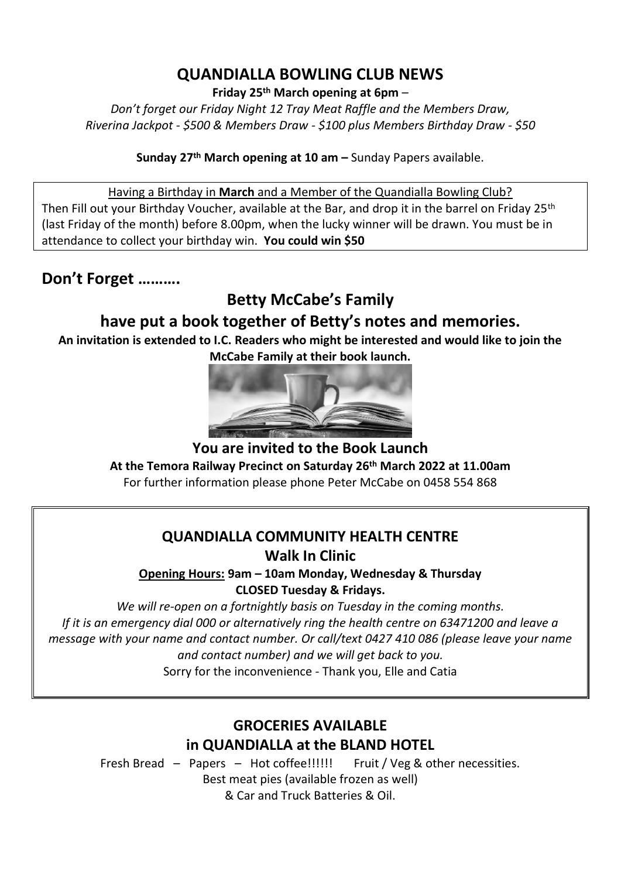#### **QUANDIALLA BOWLING CLUB NEWS**

**Friday 25th March opening at 6pm** –

*Don't forget our Friday Night 12 Tray Meat Raffle and the Members Draw, Riverina Jackpot - \$500 & Members Draw - \$100 plus Members Birthday Draw - \$50*

**Sunday 27 th March opening at 10 am –** Sunday Papers available.

Having a Birthday in **March** and a Member of the Quandialla Bowling Club? Then Fill out your Birthday Voucher, available at the Bar, and drop it in the barrel on Friday 25<sup>th</sup> (last Friday of the month) before 8.00pm, when the lucky winner will be drawn. You must be in attendance to collect your birthday win. **You could win \$50**

### **Don't Forget ……….**

**Betty McCabe's Family** 

### **have put a book together of Betty's notes and memories.**

**An invitation is extended to I.C. Readers who might be interested and would like to join the McCabe Family at their book launch.**



**You are invited to the Book Launch At the Temora Railway Precinct on Saturday 26th March 2022 at 11.00am** For further information please phone Peter McCabe on 0458 554 868

#### **QUANDIALLA COMMUNITY HEALTH CENTRE**

**Walk In Clinic**

**Opening Hours: 9am – 10am Monday, Wednesday & Thursday CLOSED Tuesday & Fridays.**

*We will re-open on a fortnightly basis on Tuesday in the coming months. If it is an emergency dial 000 or alternatively ring the health centre on 63471200 and leave a message with your name and contact number. Or call/text 0427 410 086 (please leave your name and contact number) and we will get back to you.*

Sorry for the inconvenience - Thank you, Elle and Catia

### **GROCERIES AVAILABLE in QUANDIALLA at the BLAND HOTEL**

Fresh Bread – Papers – Hot coffee!!!!!! Fruit / Veg & other necessities. Best meat pies (available frozen as well) & Car and Truck Batteries & Oil.